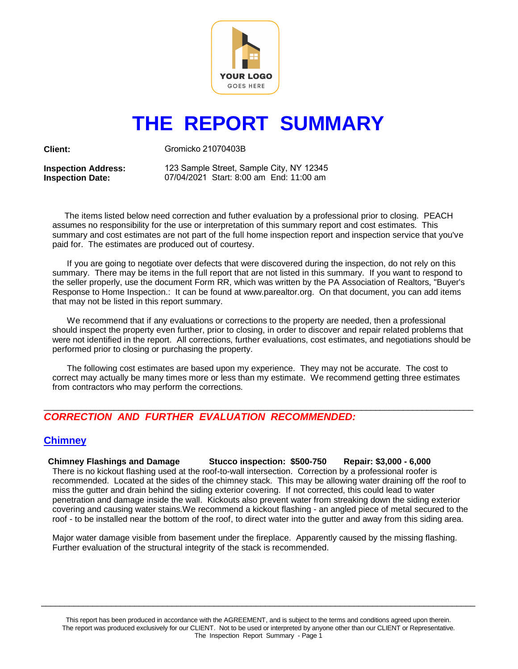

# **THE REPORT SUMMARY**

**Client:** 

Gromicko 21070403B

**Inspection Address: Inspection Date:** 

123 Sample Street, Sample City, NY 12345 07/04/2021 Start: 8:00 am End: 11:00 am

 The items listed below need correction and futher evaluation by a professional prior to closing. PEACH assumes no responsibility for the use or interpretation of this summary report and cost estimates. This summary and cost estimates are not part of the full home inspection report and inspection service that you've paid for. The estimates are produced out of courtesy.

 If you are going to negotiate over defects that were discovered during the inspection, do not rely on this summary. There may be items in the full report that are not listed in this summary. If you want to respond to the seller properly, use the document Form RR, which was written by the PA Association of Realtors, "Buyer's Response to Home Inspection.: It can be found at www.parealtor.org. On that document, you can add items that may not be listed in this report summary.

 We recommend that if any evaluations or corrections to the property are needed, then a professional should inspect the property even further, prior to closing, in order to discover and repair related problems that were not identified in the report. All corrections, further evaluations, cost estimates, and negotiations should be performed prior to closing or purchasing the property.

 The following cost estimates are based upon my experience. They may not be accurate. The cost to correct may actually be many times more or less than my estimate. We recommend getting three estimates from contractors who may perform the corrections.

### $\Box$ *CORRECTION AND FURTHER EVALUATION RECOMMENDED:*

# **Chimney**

**Chimney Flashings and Damage Stucco inspection: \$500-750 Repair: \$3,000 - 6,000** There is no kickout flashing used at the roof-to-wall intersection. Correction by a professional roofer is recommended. Located at the sides of the chimney stack. This may be allowing water draining off the roof to miss the gutter and drain behind the siding exterior covering. If not corrected, this could lead to water penetration and damage inside the wall. Kickouts also prevent water from streaking down the siding exterior covering and causing water stains.We recommend a kickout flashing - an angled piece of metal secured to the roof - to be installed near the bottom of the roof, to direct water into the gutter and away from this siding area.

Major water damage visible from basement under the fireplace. Apparently caused by the missing flashing. Further evaluation of the structural integrity of the stack is recommended.

 $\_$  ,  $\_$  ,  $\_$  ,  $\_$  ,  $\_$  ,  $\_$  ,  $\_$  ,  $\_$  ,  $\_$  ,  $\_$  ,  $\_$  ,  $\_$  ,  $\_$  ,  $\_$  ,  $\_$  ,  $\_$  ,  $\_$  ,  $\_$  ,  $\_$  ,  $\_$  ,  $\_$  ,  $\_$  ,  $\_$  ,  $\_$  ,  $\_$  ,  $\_$  ,  $\_$  ,  $\_$  ,  $\_$  ,  $\_$  ,  $\_$  ,  $\_$  ,  $\_$  ,  $\_$  ,  $\_$  ,  $\_$  ,  $\_$  ,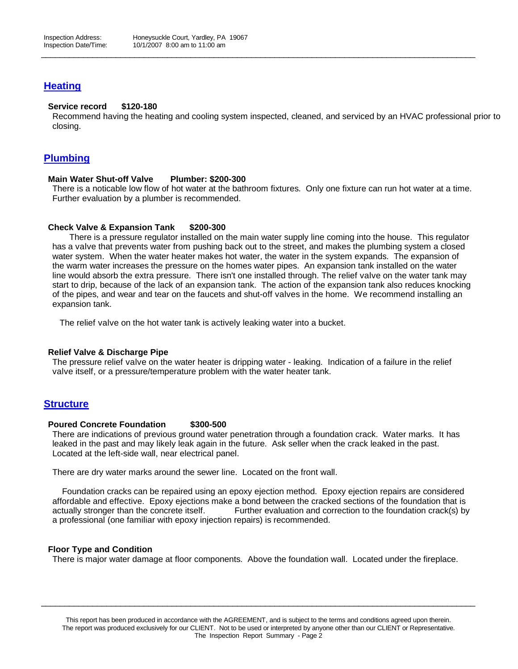# **Heating**

#### **Service record \$120-180**

Recommend having the heating and cooling system inspected, cleaned, and serviced by an HVAC professional prior to closing.

 $\_$  ,  $\_$  ,  $\_$  ,  $\_$  ,  $\_$  ,  $\_$  ,  $\_$  ,  $\_$  ,  $\_$  ,  $\_$  ,  $\_$  ,  $\_$  ,  $\_$  ,  $\_$  ,  $\_$  ,  $\_$  ,  $\_$  ,  $\_$  ,  $\_$  ,  $\_$  ,  $\_$  ,  $\_$  ,  $\_$  ,  $\_$  ,  $\_$  ,  $\_$  ,  $\_$  ,  $\_$  ,  $\_$  ,  $\_$  ,  $\_$  ,  $\_$  ,  $\_$  ,  $\_$  ,  $\_$  ,  $\_$  ,  $\_$  ,

## **Plumbing**

#### **Main Water Shut-off Valve Plumber: \$200-300**

There is a noticable low flow of hot water at the bathroom fixtures. Only one fixture can run hot water at a time. Further evaluation by a plumber is recommended.

#### **Check Valve & Expansion Tank \$200-300**

 There is a pressure regulator installed on the main water supply line coming into the house. This regulator has a valve that prevents water from pushing back out to the street, and makes the plumbing system a closed water system. When the water heater makes hot water, the water in the system expands. The expansion of the warm water increases the pressure on the homes water pipes. An expansion tank installed on the water line would absorb the extra pressure. There isn't one installed through. The relief valve on the water tank may start to drip, because of the lack of an expansion tank. The action of the expansion tank also reduces knocking of the pipes, and wear and tear on the faucets and shut-off valves in the home. We recommend installing an expansion tank.

The relief valve on the hot water tank is actively leaking water into a bucket.

#### **Relief Valve & Discharge Pipe**

The pressure relief valve on the water heater is dripping water - leaking. Indication of a failure in the relief valve itself, or a pressure/temperature problem with the water heater tank.

## **Structure**

#### **Poured Concrete Foundation \$300-500**

There are indications of previous ground water penetration through a foundation crack. Water marks. It has leaked in the past and may likely leak again in the future. Ask seller when the crack leaked in the past. Located at the left-side wall, near electrical panel.

There are dry water marks around the sewer line. Located on the front wall.

 Foundation cracks can be repaired using an epoxy ejection method. Epoxy ejection repairs are considered affordable and effective. Epoxy ejections make a bond between the cracked sections of the foundation that is actually stronger than the concrete itself. Further evaluation and correction to the foundation crack(s) by a professional (one familiar with epoxy injection repairs) is recommended.

#### **Floor Type and Condition**

There is major water damage at floor components. Above the foundation wall. Located under the fireplace.

 $\_$  ,  $\_$  ,  $\_$  ,  $\_$  ,  $\_$  ,  $\_$  ,  $\_$  ,  $\_$  ,  $\_$  ,  $\_$  ,  $\_$  ,  $\_$  ,  $\_$  ,  $\_$  ,  $\_$  ,  $\_$  ,  $\_$  ,  $\_$  ,  $\_$  ,  $\_$  ,  $\_$  ,  $\_$  ,  $\_$  ,  $\_$  ,  $\_$  ,  $\_$  ,  $\_$  ,  $\_$  ,  $\_$  ,  $\_$  ,  $\_$  ,  $\_$  ,  $\_$  ,  $\_$  ,  $\_$  ,  $\_$  ,  $\_$  ,